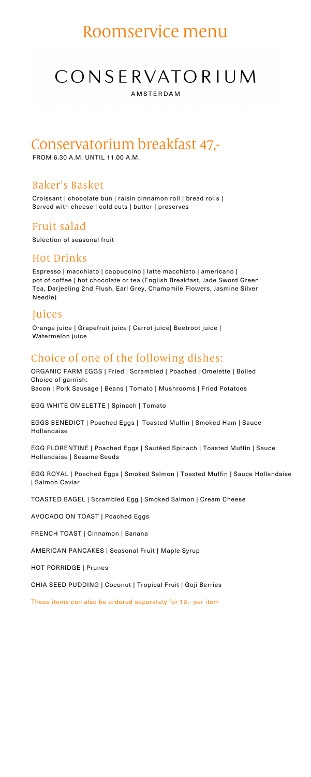### Choice of one of the following dishes:

ORGANIC FARM EGGS | Fried | Scrambled | Poached | Omelette | Boiled Choice of garnish: Bacon | Pork Sausage | Beans | Tomato | Mushrooms | Fried Potatoes

EGG WHITE OMELETTE | Spinach | Tomato

EGGS BENEDICT | Poached Eggs | Toasted Muffin | Smoked Ham | Sauce Hollandaise

EGG FLORENTINE | Poached Eggs | Sautéed Spinach | Toasted Muffin | Sauce Hollandaise | Sesame Seeds

EGG ROYAL | Poached Eggs | Smoked Salmon | Toasted Muffin | Sauce Hollandaise | Salmon Caviar

TOASTED BAGEL | Scrambled Egg | Smoked Salmon | Cream Cheese

AVOCADO ON TOAST | Poached Eggs

FRENCH TOAST | Cinnamon | Banana

AMERICAN PANCAKES | Seasonal Fruit | Maple Syrup

HOT PORRIDGE | Prunes

CHIA SEED PUDDING | Coconut | Tropical Fruit | Goji Berries

These items can also be ordered separately for 19,- per item

# Roomservice menu

# CONSERVATORIUM

**AMSTERDAM** 

#### Baker's Basket

Croissant | chocolate bun | raisin cinnamon roll | bread rolls | Served with cheese | cold cuts | butter | preserves

### Fruit salad

Selection of seasonal fruit

# Conservatorium breakfast 47,-

FROM 6.30 A.M. UNTIL 11.00 A.M.

#### Hot Drinks

Espresso | macchiato | cappuccino | latte macchiato | americano | pot of coffee | hot chocolate or tea (English Breakfast, Jade Sword Green Tea, Darjeeling 2nd Flush, Earl Grey, Chamomile Flowers, Jasmine Silver Needle)

#### Juices

Orange juice | Grapefruit juice | Carrot juice| Beetroot juice | Watermelon juice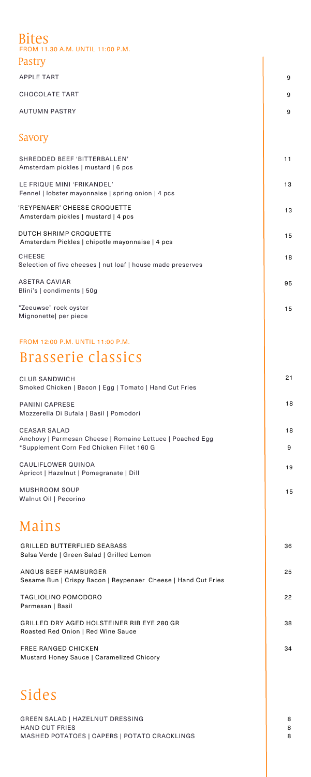## Bites

FROM 11.30 A.M. UNTIL 11:00 P.M.

| Pastry                                                                                                                        |         |
|-------------------------------------------------------------------------------------------------------------------------------|---------|
| <b>APPLE TART</b>                                                                                                             | 9       |
| <b>CHOCOLATE TART</b>                                                                                                         | 9       |
| <b>AUTUMN PASTRY</b>                                                                                                          | 9       |
| Savory                                                                                                                        |         |
| SHREDDED BEEF 'BITTERBALLEN'<br>Amsterdam pickles   mustard   6 pcs                                                           | 11      |
| LE FRIQUE MINI 'FRIKANDEL'<br>Fennel   lobster mayonnaise   spring onion   4 pcs                                              | 13      |
| 'REYPENAER' CHEESE CROQUETTE<br>Amsterdam pickles   mustard   4 pcs                                                           | 13      |
| DUTCH SHRIMP CROQUETTE<br>Amsterdam Pickles   chipotle mayonnaise   4 pcs                                                     | 15      |
| <b>CHEESE</b><br>Selection of five cheeses   nut loaf   house made preserves                                                  | 18      |
| <b>ASETRA CAVIAR</b><br>Blini's   condiments   50g                                                                            | 95      |
| "Zeeuwse" rock oyster<br>Mignonette  per piece                                                                                | 15      |
| FROM 12:00 P.M. UNTIL 11:00 P.M.                                                                                              |         |
| Brasserie classics                                                                                                            |         |
| <b>CLUB SANDWICH</b><br>Smoked Chicken   Bacon   Egg   Tomato   Hand Cut Fries                                                | 21      |
| <b>PANINI CAPRESE</b><br>Mozzerella Di Bufala   Basil   Pomodori                                                              | 18      |
| <b>CEASAR SALAD</b><br>Anchovy   Parmesan Cheese   Romaine Lettuce   Poached Egg<br>*Supplement Corn Fed Chicken Fillet 160 G | 18<br>9 |

CAULIFLOWER QUINOA

| <u>UAULIFLUWEN WUINUA</u><br>Apricot   Hazelnut   Pomegranate   Dill                                            | 19          |
|-----------------------------------------------------------------------------------------------------------------|-------------|
| <b>MUSHROOM SOUP</b><br>Walnut Oil   Pecorino                                                                   | 15          |
| Mains                                                                                                           |             |
| <b>GRILLED BUTTERFLIED SEABASS</b><br>Salsa Verde   Green Salad   Grilled Lemon                                 | 36          |
| ANGUS BEEF HAMBURGER<br>Sesame Bun   Crispy Bacon   Reypenaer Cheese   Hand Cut Fries                           | 25          |
| <b>TAGLIOLINO POMODORO</b><br>Parmesan   Basil                                                                  | 22          |
| GRILLED DRY AGED HOLSTEINER RIB EYE 280 GR<br>Roasted Red Onion   Red Wine Sauce                                | 38          |
| <b>FREE RANGED CHICKEN</b><br>Mustard Honey Sauce   Caramelized Chicory                                         | 34          |
|                                                                                                                 |             |
| Sides                                                                                                           |             |
| <b>GREEN SALAD   HAZELNUT DRESSING</b><br><b>HAND CUT FRIES</b><br>MASHED POTATOES   CAPERS   POTATO CRACKLINGS | 8<br>8<br>8 |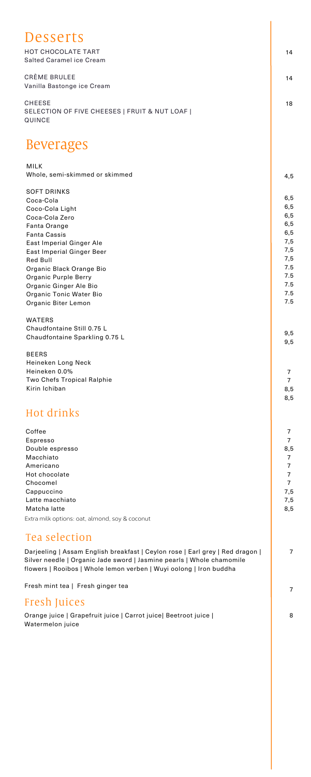| Desserts                                                                                                                                                                                                                                                                                                                                                                                           |                                                                                           |
|----------------------------------------------------------------------------------------------------------------------------------------------------------------------------------------------------------------------------------------------------------------------------------------------------------------------------------------------------------------------------------------------------|-------------------------------------------------------------------------------------------|
| <b>HOT CHOCOLATE TART</b><br><b>Salted Caramel ice Cream</b>                                                                                                                                                                                                                                                                                                                                       | 14                                                                                        |
| <b>CRÈME BRULEE</b><br>Vanilla Bastonge ice Cream                                                                                                                                                                                                                                                                                                                                                  | 14                                                                                        |
| <b>CHEESE</b><br>SELECTION OF FIVE CHEESES   FRUIT & NUT LOAF  <br><b>QUINCE</b>                                                                                                                                                                                                                                                                                                                   | 18                                                                                        |
| <b>Beverages</b>                                                                                                                                                                                                                                                                                                                                                                                   |                                                                                           |
| <b>MILK</b><br>Whole, semi-skimmed or skimmed                                                                                                                                                                                                                                                                                                                                                      | 4, 5                                                                                      |
| <b>SOFT DRINKS</b><br>Coca-Cola<br>Coco-Cola Light<br>Coca-Cola Zero<br><b>Fanta Orange</b><br><b>Fanta Cassis</b><br><b>East Imperial Ginger Ale</b><br><b>East Imperial Ginger Beer</b><br><b>Red Bull</b><br>Organic Black Orange Bio<br><b>Organic Purple Berry</b><br>Organic Ginger Ale Bio<br>Organic Tonic Water Bio<br>Organic Biter Lemon<br><b>WATERS</b><br>Chaudfontaine Still 0.75 L | 6,5<br>6, 5<br>6, 5<br>6,5<br>6,5<br>7,5<br>7,5<br>7,5<br>7.5<br>7.5<br>7.5<br>7.5<br>7.5 |
| Chaudfontaine Sparkling 0.75 L                                                                                                                                                                                                                                                                                                                                                                     | 9,5<br>9,5                                                                                |
| <b>BEERS</b><br>Heineken Long Neck<br>Heineken 0.0%<br><b>Two Chefs Tropical Ralphie</b><br>Kirin Ichiban                                                                                                                                                                                                                                                                                          | $\overline{7}$<br>$\overline{7}$<br>8,5<br>8,5                                            |
| Hot drinks                                                                                                                                                                                                                                                                                                                                                                                         |                                                                                           |
| Coffee<br>Espresso<br>Double espresso                                                                                                                                                                                                                                                                                                                                                              | 7<br>$\overline{7}$<br>8,5                                                                |

Macchiato

| Americano                                                                                                                                                                                                                    | $\overline{7}$ |
|------------------------------------------------------------------------------------------------------------------------------------------------------------------------------------------------------------------------------|----------------|
| Hot chocolate                                                                                                                                                                                                                |                |
| Chocomel                                                                                                                                                                                                                     | $\overline{7}$ |
| Cappuccino                                                                                                                                                                                                                   | 7,5            |
| Latte macchiato                                                                                                                                                                                                              | 7,5            |
| Matcha latte                                                                                                                                                                                                                 | 8,5            |
| Extra milk options: oat, almond, soy & coconut                                                                                                                                                                               |                |
| Tea selection                                                                                                                                                                                                                |                |
| Darjeeling   Assam English breakfast   Ceylon rose   Earl grey   Red dragon  <br>Silver needle   Organic Jade sword   Jasmine pearls   Whole chamomile<br>flowers   Rooibos   Whole lemon verben   Wuyi oolong   Iron buddha | $\overline{7}$ |
| Fresh mint tea   Fresh ginger tea                                                                                                                                                                                            | $\overline{7}$ |
| Fresh Juices                                                                                                                                                                                                                 |                |
| Orange juice   Grapefruit juice   Carrot juice  Beetroot juice  <br>Watermelon juice                                                                                                                                         | 8              |
|                                                                                                                                                                                                                              |                |
|                                                                                                                                                                                                                              |                |
|                                                                                                                                                                                                                              |                |

7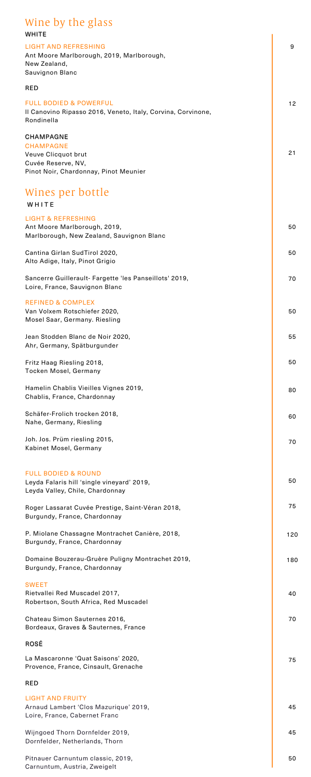#### 9 12 21 Wine by the glass **WHITE** LIGHT AND REFRESHING Ant Moore Marlborough, 2019, Marlborough, New Zealand, Sauvignon Blanc RED FULL BODIED & POWERFUL Il Canovino Ripasso 2016, Veneto, Italy, Corvina, Corvinone, Rondinella **CHAMPAGNE** Wines per bottle LIGHT & REFRESHING Ant Moore Marlborough, 2019, Marlborough, New Zealand, Sauvignon Blanc Cantina Girlan SudTirol 2020, Alto Adige, Italy, Pinot Grigio Sancerre Guillerault- Fargette 'les Panseillots' 2019, Loire, France, Sauvignon Blanc **WHITE** REFINED & COMPLEX Van Volxem Rotschiefer 2020, Mosel Saar, Germany. Riesling Jean Stodden Blanc de Noir 2020, Ahr, Germany, Spätburgunder Fritz Haag Riesling 2018, Tocken Mosel, Germany Hamelin Chablis Vieilles Vignes 2019, Chablis, France, Chardonnay Schäfer-Frolich trocken 2018, Nahe, Germany, Riesling Joh. Jos. Prüm riesling 2015, Kabinet Mosel, Germany **CHAMPAGNE** Veuve Clicquot brut Cuvée Reserve, NV, Pinot Noir, Chardonnay, Pinot Meunier 50 50 70 50 55 50 80 60 70

| <b>FULL BODIED &amp; ROUND</b><br>Leyda Falaris hill 'single vineyard' 2019,<br>Leyda Valley, Chile, Chardonnay | 50  |
|-----------------------------------------------------------------------------------------------------------------|-----|
| Roger Lassarat Cuvée Prestige, Saint-Véran 2018,<br>Burgundy, France, Chardonnay                                | 75  |
| P. Miolane Chassagne Montrachet Canière, 2018,<br>Burgundy, France, Chardonnay                                  | 120 |
| Domaine Bouzerau-Gruère Puligny Montrachet 2019,<br>Burgundy, France, Chardonnay                                | 180 |
| <b>SWEET</b><br>Rietvallei Red Muscadel 2017,<br>Robertson, South Africa, Red Muscadel                          | 40  |
| Chateau Simon Sauternes 2016,<br>Bordeaux, Graves & Sauternes, France                                           | 70  |
| <b>ROSÉ</b>                                                                                                     |     |
| La Mascaronne 'Quat Saisons' 2020,<br>Provence, France, Cinsault, Grenache                                      | 75  |
| <b>RED</b>                                                                                                      |     |
| <b>LIGHT AND FRUITY</b><br>Arnaud Lambert 'Clos Mazurique' 2019,<br>Loire, France, Cabernet Franc               | 45  |
| Wijngoed Thorn Dornfelder 2019,<br>Dornfelder, Netherlands, Thorn                                               | 45  |
| Pitnauer Carnuntum classic, 2019,<br>Carnuntum, Austria, Zweigelt                                               | 50  |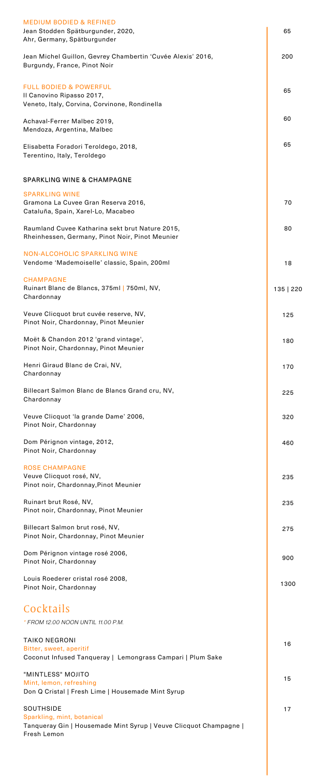| <b>MEDIUM BODIED &amp; REFINED</b><br>Jean Stodden Spätburgunder, 2020,<br>Ahr, Germany, Spätburgunder          | 65        |
|-----------------------------------------------------------------------------------------------------------------|-----------|
| Jean Michel Guillon, Gevrey Chambertin 'Cuvée Alexis' 2016,<br>Burgundy, France, Pinot Noir                     | 200       |
| <b>FULL BODIED &amp; POWERFUL</b><br>Il Canovino Ripasso 2017,<br>Veneto, Italy, Corvina, Corvinone, Rondinella | 65        |
| Achaval-Ferrer Malbec 2019,<br>Mendoza, Argentina, Malbec                                                       | 60        |
| Elisabetta Foradori Teroldego, 2018,<br>Terentino, Italy, Teroldego                                             | 65        |
| <b>SPARKLING WINE &amp; CHAMPAGNE</b>                                                                           |           |
| <b>SPARKLING WINE</b><br>Gramona La Cuvee Gran Reserva 2016,<br>Cataluña, Spain, Xarel-Lo, Macabeo              | 70        |
| Raumland Cuvee Katharina sekt brut Nature 2015,<br>Rheinhessen, Germany, Pinot Noir, Pinot Meunier              | 80        |
| <b>NON-ALCOHOLIC SPARKLING WINE</b><br>Vendome 'Mademoiselle' classic, Spain, 200ml                             | 18        |
| <b>CHAMPAGNE</b><br>Ruinart Blanc de Blancs, 375ml   750ml, NV,<br>Chardonnay                                   | 135   220 |
| Veuve Clicquot brut cuvée reserve, NV,<br>Pinot Noir, Chardonnay, Pinot Meunier                                 | 125       |
| Moët & Chandon 2012 'grand vintage',<br>Pinot Noir, Chardonnay, Pinot Meunier                                   | 180       |
| Henri Giraud Blanc de Crai, NV,<br>Chardonnay                                                                   | 170       |
| Billecart Salmon Blanc de Blancs Grand cru, NV,<br>Chardonnay                                                   | 225       |
| Veuve Clicquot 'la grande Dame' 2006,<br>Pinot Noir, Chardonnay                                                 | 320       |
| Dom Pérignon vintage, 2012,<br>Pinot Noir, Chardonnay                                                           | 460       |
|                                                                                                                 |           |

| <b>ROSE CHAMPAGNE</b><br>Veuve Clicquot rosé, NV,<br>Pinot noir, Chardonnay, Pinot Meunier                                         | 235  |
|------------------------------------------------------------------------------------------------------------------------------------|------|
| Ruinart brut Rosé, NV,<br>Pinot noir, Chardonnay, Pinot Meunier                                                                    | 235  |
| Billecart Salmon brut rosé, NV,<br>Pinot Noir, Chardonnay, Pinot Meunier                                                           | 275  |
| Dom Pérignon vintage rosé 2006,<br>Pinot Noir, Chardonnay                                                                          | 900  |
| Louis Roederer cristal rosé 2008,<br>Pinot Noir, Chardonnay                                                                        | 1300 |
| Cocktails<br>* FROM 12.00 NOON UNTIL 11.00 P.M.                                                                                    |      |
| <b>TAIKO NEGRONI</b><br>Bitter, sweet, aperitif<br>Coconut Infused Tanqueray   Lemongrass Campari   Plum Sake                      | 16   |
| "MINTLESS" MOJITO<br>Mint, lemon, refreshing<br>Don Q Cristal   Fresh Lime   Housemade Mint Syrup                                  | 15   |
| <b>SOUTHSIDE</b><br>Sparkling, mint, botanical<br>Tanqueray Gin   Housemade Mint Syrup   Veuve Clicquot Champagne  <br>Fresh Lemon | 17   |